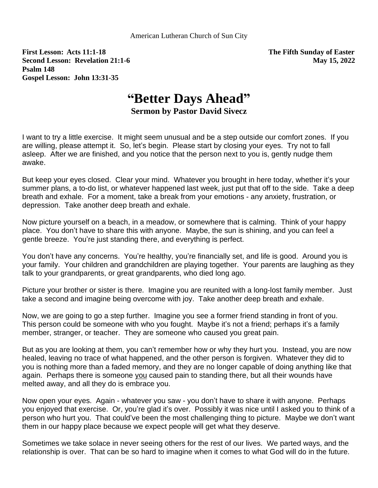**First Lesson: Acts 11:1-18 The Fifth Sunday of Easter Second Lesson: Revelation 21:1-6 May 15, 2022 Psalm 148 Gospel Lesson: John 13:31-35**

## **"Better Days Ahead" Sermon by Pastor David Sivecz**

I want to try a little exercise. It might seem unusual and be a step outside our comfort zones. If you are willing, please attempt it. So, let's begin. Please start by closing your eyes. Try not to fall asleep. After we are finished, and you notice that the person next to you is, gently nudge them awake.

But keep your eyes closed. Clear your mind. Whatever you brought in here today, whether it's your summer plans, a to-do list, or whatever happened last week, just put that off to the side. Take a deep breath and exhale. For a moment, take a break from your emotions - any anxiety, frustration, or depression. Take another deep breath and exhale.

Now picture yourself on a beach, in a meadow, or somewhere that is calming. Think of your happy place. You don't have to share this with anyone. Maybe, the sun is shining, and you can feel a gentle breeze. You're just standing there, and everything is perfect.

You don't have any concerns. You're healthy, you're financially set, and life is good. Around you is your family. Your children and grandchildren are playing together. Your parents are laughing as they talk to your grandparents, or great grandparents, who died long ago.

Picture your brother or sister is there. Imagine you are reunited with a long-lost family member. Just take a second and imagine being overcome with joy. Take another deep breath and exhale.

Now, we are going to go a step further. Imagine you see a former friend standing in front of you. This person could be someone with who you fought. Maybe it's not a friend; perhaps it's a family member, stranger, or teacher. They are someone who caused you great pain.

But as you are looking at them, you can't remember how or why they hurt you. Instead, you are now healed, leaving no trace of what happened, and the other person is forgiven. Whatever they did to you is nothing more than a faded memory, and they are no longer capable of doing anything like that again. Perhaps there is someone you caused pain to standing there, but all their wounds have melted away, and all they do is embrace you.

Now open your eyes. Again - whatever you saw - you don't have to share it with anyone. Perhaps you enjoyed that exercise. Or, you're glad it's over. Possibly it was nice until I asked you to think of a person who hurt you. That could've been the most challenging thing to picture. Maybe we don't want them in our happy place because we expect people will get what they deserve.

Sometimes we take solace in never seeing others for the rest of our lives. We parted ways, and the relationship is over. That can be so hard to imagine when it comes to what God will do in the future.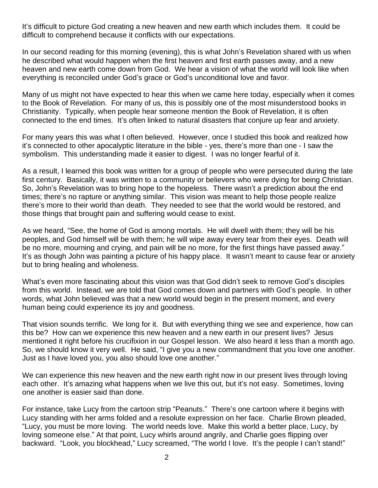It's difficult to picture God creating a new heaven and new earth which includes them. It could be difficult to comprehend because it conflicts with our expectations.

In our second reading for this morning (evening), this is what John's Revelation shared with us when he described what would happen when the first heaven and first earth passes away, and a new heaven and new earth come down from God. We hear a vision of what the world will look like when everything is reconciled under God's grace or God's unconditional love and favor.

Many of us might not have expected to hear this when we came here today, especially when it comes to the Book of Revelation. For many of us, this is possibly one of the most misunderstood books in Christianity. Typically, when people hear someone mention the Book of Revelation, it is often connected to the end times. It's often linked to natural disasters that conjure up fear and anxiety.

For many years this was what I often believed. However, once I studied this book and realized how it's connected to other apocalyptic literature in the bible - yes, there's more than one - I saw the symbolism. This understanding made it easier to digest. I was no longer fearful of it.

As a result, I learned this book was written for a group of people who were persecuted during the late first century. Basically, it was written to a community or believers who were dying for being Christian. So, John's Revelation was to bring hope to the hopeless. There wasn't a prediction about the end times; there's no rapture or anything similar. This vision was meant to help those people realize there's more to their world than death. They needed to see that the world would be restored, and those things that brought pain and suffering would cease to exist.

As we heard, "See, the home of God is among mortals. He will dwell with them; they will be his peoples, and God himself will be with them; he will wipe away every tear from their eyes. Death will be no more, mourning and crying, and pain will be no more, for the first things have passed away." It's as though John was painting a picture of his happy place. It wasn't meant to cause fear or anxiety but to bring healing and wholeness.

What's even more fascinating about this vision was that God didn't seek to remove God's disciples from this world. Instead, we are told that God comes down and partners with God's people. In other words, what John believed was that a new world would begin in the present moment, and every human being could experience its joy and goodness.

That vision sounds terrific. We long for it. But with everything thing we see and experience, how can this be? How can we experience this new heaven and a new earth in our present lives? Jesus mentioned it right before his crucifixion in our Gospel lesson. We also heard it less than a month ago. So, we should know it very well. He said, "I give you a new commandment that you love one another. Just as I have loved you, you also should love one another."

We can experience this new heaven and the new earth right now in our present lives through loving each other. It's amazing what happens when we live this out, but it's not easy. Sometimes, loving one another is easier said than done.

For instance, take Lucy from the cartoon strip "Peanuts." There's one cartoon where it begins with Lucy standing with her arms folded and a resolute expression on her face. Charlie Brown pleaded, "Lucy, you must be more loving. The world needs love. Make this world a better place, Lucy, by loving someone else." At that point, Lucy whirls around angrily, and Charlie goes flipping over backward. "Look, you blockhead," Lucy screamed, "The world I love. It's the people I can't stand!"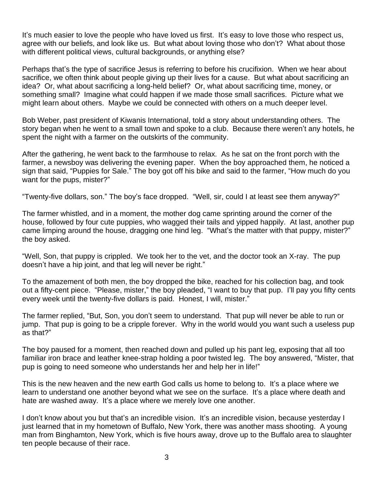It's much easier to love the people who have loved us first. It's easy to love those who respect us, agree with our beliefs, and look like us. But what about loving those who don't? What about those with different political views, cultural backgrounds, or anything else?

Perhaps that's the type of sacrifice Jesus is referring to before his crucifixion. When we hear about sacrifice, we often think about people giving up their lives for a cause. But what about sacrificing an idea? Or, what about sacrificing a long-held belief? Or, what about sacrificing time, money, or something small? Imagine what could happen if we made those small sacrifices. Picture what we might learn about others. Maybe we could be connected with others on a much deeper level.

Bob Weber, past president of Kiwanis International, told a story about understanding others. The story began when he went to a small town and spoke to a club. Because there weren't any hotels, he spent the night with a farmer on the outskirts of the community.

After the gathering, he went back to the farmhouse to relax. As he sat on the front porch with the farmer, a newsboy was delivering the evening paper. When the boy approached them, he noticed a sign that said, "Puppies for Sale." The boy got off his bike and said to the farmer, "How much do you want for the pups, mister?"

"Twenty-five dollars, son." The boy's face dropped. "Well, sir, could I at least see them anyway?"

The farmer whistled, and in a moment, the mother dog came sprinting around the corner of the house, followed by four cute puppies, who wagged their tails and yipped happily. At last, another pup came limping around the house, dragging one hind leg. "What's the matter with that puppy, mister?" the boy asked.

"Well, Son, that puppy is crippled. We took her to the vet, and the doctor took an X-ray. The pup doesn't have a hip joint, and that leg will never be right."

To the amazement of both men, the boy dropped the bike, reached for his collection bag, and took out a fifty-cent piece. "Please, mister," the boy pleaded, "I want to buy that pup. I'll pay you fifty cents every week until the twenty-five dollars is paid. Honest, I will, mister."

The farmer replied, "But, Son, you don't seem to understand. That pup will never be able to run or jump. That pup is going to be a cripple forever. Why in the world would you want such a useless pup as that?"

The boy paused for a moment, then reached down and pulled up his pant leg, exposing that all too familiar iron brace and leather knee-strap holding a poor twisted leg. The boy answered, "Mister, that pup is going to need someone who understands her and help her in life!"

This is the new heaven and the new earth God calls us home to belong to. It's a place where we learn to understand one another beyond what we see on the surface. It's a place where death and hate are washed away. It's a place where we merely love one another.

I don't know about you but that's an incredible vision. It's an incredible vision, because yesterday I just learned that in my hometown of Buffalo, New York, there was another mass shooting. A young man from Binghamton, New York, which is five hours away, drove up to the Buffalo area to slaughter ten people because of their race.